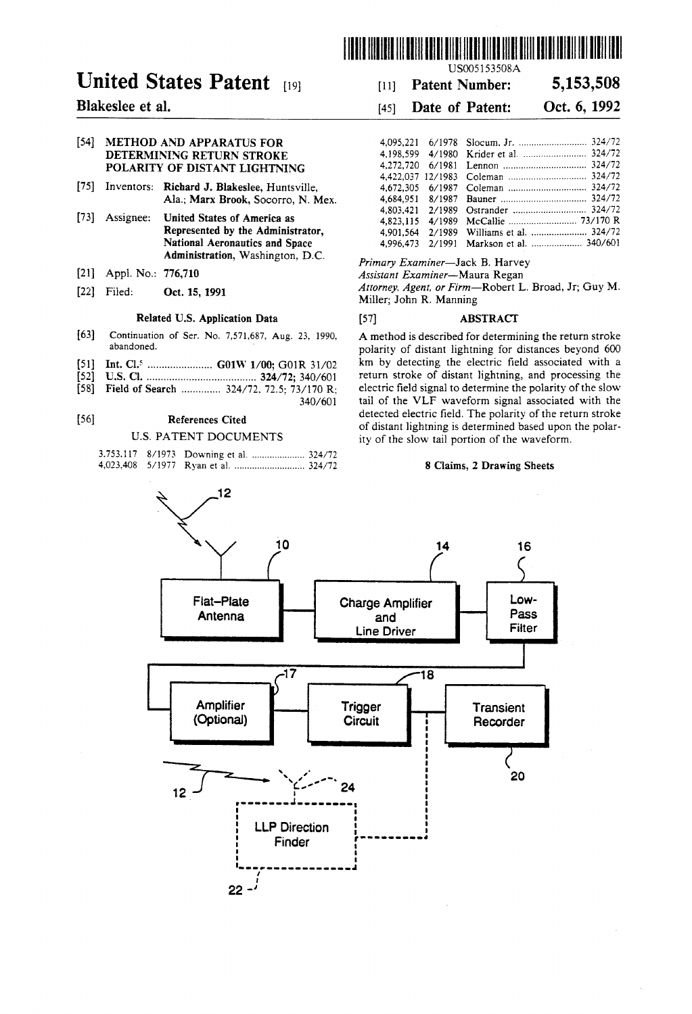

# **United States Patent** [19] [11] **Patent Number: 5,153,508**

# [54] **METHOD AND APPARATUS FOR DETERMINING RETURN STROKE POLARITY OF DISTANT LIGHTNING**

- Inventors: **Richard J. Blakeslee,** Huntsville, Ala.; **Marx Brook,** Socorro, N. Mex.
- [73] Assignee: **United States of America as Represented by the Administrator, National Aeronautics and Space Administration,** Washington, **D.C.**
- Appl. No.: **776,710**
- Filed: **Oct. 15, 1991**

## **Related U.S. Application Data**

- $[63]$ Continuation of Ser. No. **7,571,687, Aug. 23, 1990,**  abandoned.
- $[51]$ **Int. C1.5** ....................... **GOlW 1/00;** GOlR **31/02**
- $521$ **U.S. C1.** ....................................... **324/72;** 340/601
- **Field of Search** .............. 324/72. 12.5: 73/170 R;
- 340/601

#### $[56]$ **References Cited US. PATENT** DOCUMENTS

|  | 3.753.117 8/1973 Downing et al.  324/72 |  |
|--|-----------------------------------------|--|
|  |                                         |  |

# **Blakeslee et al.** [45] **Date of Patent: Oct. 6, 1992**

| 4.095.221 |         |                              |  |
|-----------|---------|------------------------------|--|
| 4.198.599 |         | 4/1980 Krider et al.  324/72 |  |
| 4.272.720 | 6/1981  |                              |  |
| 4.422.037 | 12/1983 |                              |  |
| 4.672.305 |         | 6/1987 Coleman  324/72       |  |
|           |         |                              |  |
| 4.803.421 | 2/1989  |                              |  |
| 4,823,115 | 4/1989  | McCallie  73/170 R           |  |
| 4.901.564 | 2/1989  | Williams et al.  324/72      |  |
| 4.996.473 | 2/1991  | Markson et al.  340/601      |  |

Primary Examiner-Jack B. Harvey

Assistant Examiner-Maura Regan

Attorney. Agent, or Firm-Robert **L.** Broad, Jr; Guy M. Miller; John R. Manning

# [571 **ABSTRACX**

A method is described for determining the return stroke polarity of distant lightning for distances beyond 600 km by detecting the electric field associated with a return stroke of distant lightning, and processing the electric field signal to determine the polarity of the slow tail of the VLF waveform signal associated with the detected electric field. The polarity of the return stroke of distant lightning is determined based upon the polarity of the slow tail portion of the waveform.

### **8 Claims, 2 Drawing Sheets**

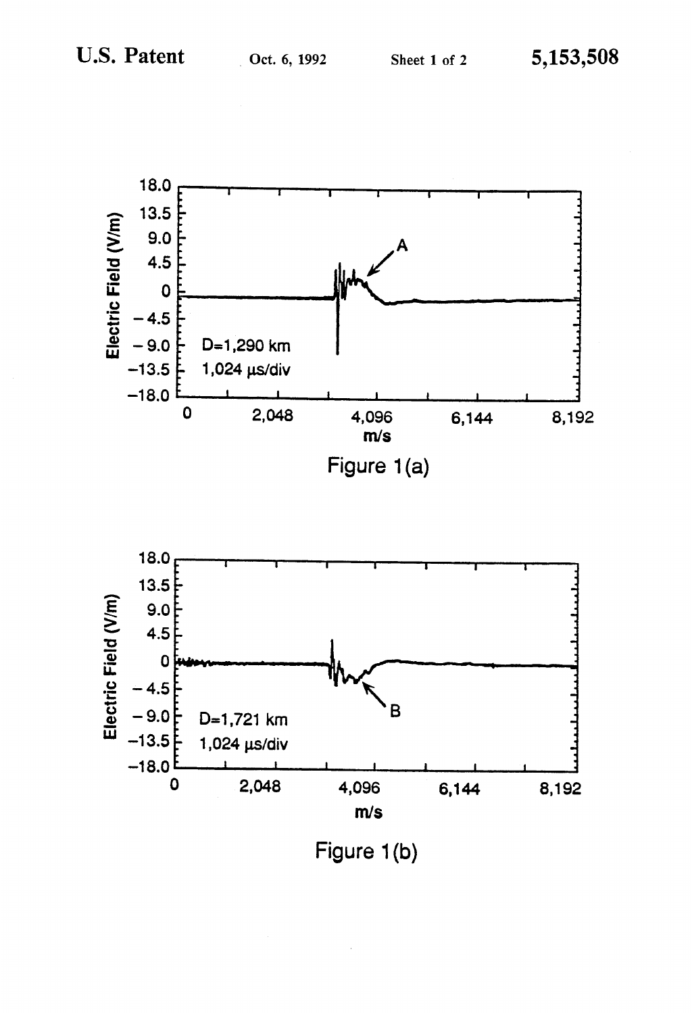

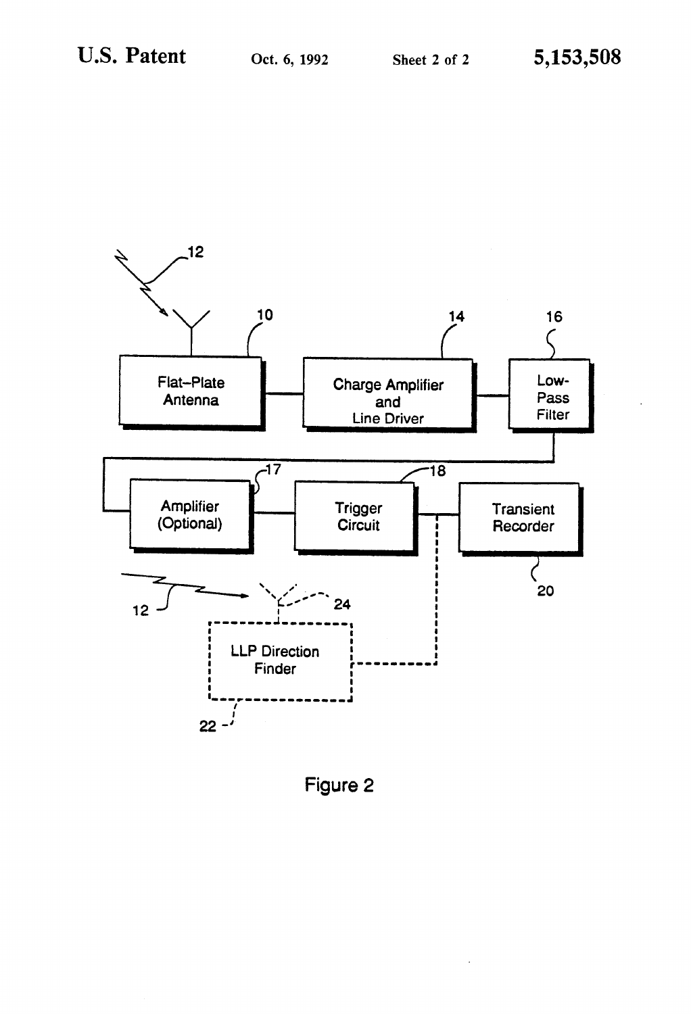

**[Figure](#page-4-0)** *2*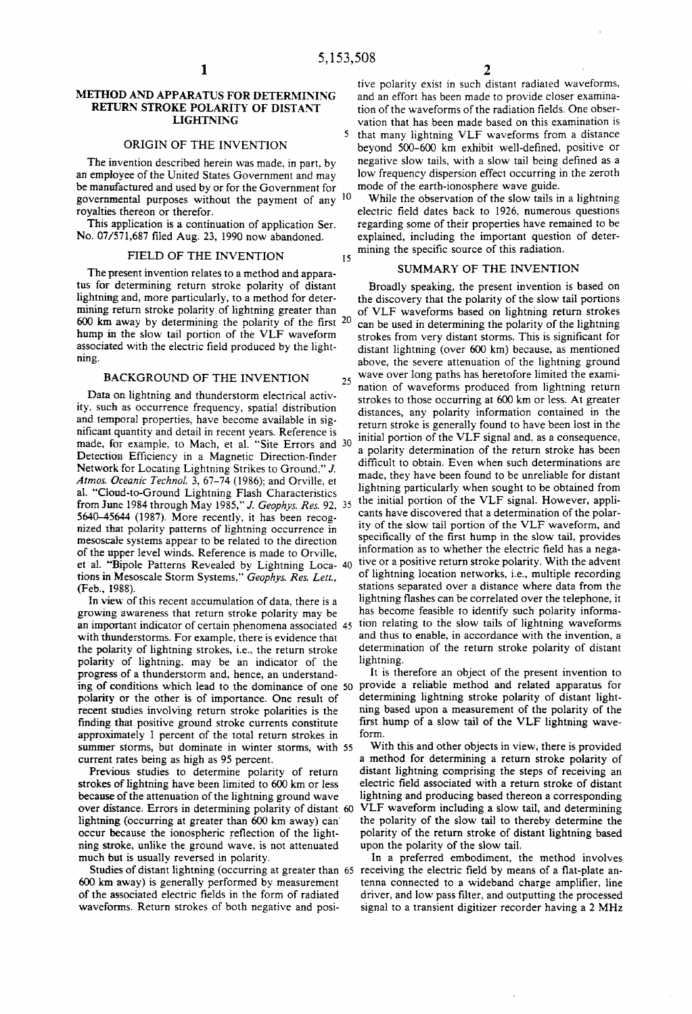**15** 

#### METHOD AND APPARATUS FOR DETERMINING **RETURN** STROKE POLARITY **OF** DISTANT LIGHTNING

#### ORIGIN OF THE INVENTION

The invention described herein was made, in part. by an employee of the United States Government and may be manufactured and used by or for the Government for governmental purposes without the payment of any <sup>10</sup> royalties thereon or therefor.

This application is a continuation of application Ser. No. 07/571,687 filed Aug. 23, 1990 now abandoned.

#### FIELD OF THE INVENTION

The present invention relates to a method and apparatus for determining return stroke polarity of distant lightning and, more particularly, to a method for determining return stroke polarity of lightning greater than *600* km away by determining the polarity of the first hump *in* the slow tail portion of the VLF waveform associated with the electric field produced by the lightning.

#### BACKGROUND OF THE INVENTION

Data **an** lightning and thunderstorm electrical activity. such as occurrence frequency. spatial distribution and temporal properties, have become available in significant quantity and detail in recent years. Reference is made, for example, to Mach, et al. "Site Errors and <sup>30</sup> Detection Efficiency in a Magnetic Direction-finder Network for Locating Lightning Strikes to Ground." *J. Atmos. Oceonic Techno/.* 3: 67-74 (1986); and Orville, et al. "Cloud-to-Ground Lightning Flash Characteristics from **June** 1984 through May 1985," *J. Geophys. Res.* 92, *5640-45644* (1987). More recently, it has been recognized **thar** polarity patterns of lightning occurrence in mesoscale systems appear to be related to the direction of the upper level winds. Reference is made to Orville, et al. "Bipole Patterns Revealed by Lightning Locations **in** Mesoscale Storm Systems," *Geophys. Res. Lett,*  (Feb., 1988).

In view of this recent accumulation of data, there is a growing awareness that return stroke polarity may be an important indicator of certain phenomena associated with thunderstorms. For example, there is evidence that the polarity of lightning strokes, i.e., the return stroke polarity of lightning, may be an indicator of the progress of a thunderstorm and. hence, an understanding of conditions which lead to the dominance of one 50 provide a reliable method and related apparatus for polarity or the other is of importance. One result of determining lightning stroke polarity of distant lightpolarity or the other is of importance. One result of determining lightning stroke polarity of distant light-<br>recent studies involving return stroke polarities is the ning based upon a measurement of the polarity of the recent studies involving return stroke polarities is the finding that positive ground stroke currents constitute first hump of a slow tail of the VLF lightning waveapproximately 1 percent of the total return strokes in form. summer storms, but dominate in winter storms, with *55* With this and other objects in view, there is provided

strokes of lightning have been limited to *600* km or less electric field associated with a return stroke of distant because of the attenuation of the lightning ground wave lightning and producing based thereon a corresponding over distance. Errors in determining polarity of distant *60* VLF waveform including a slow tail, and determining lightning (occurring at greater than 600 km away) can<sup>'</sup> the polarity of the slow tail to thereby determine the occur because the ionospheric reflection of the light-<br>polarity of the return stroke of distant lightning base occur because the ionospheric reflection of the lightning stroke, unlike the ground wave, is not attenuated upon the polarity of the slow tail.

*600* km away) is generally performed by measurement tenna connected to a wideband charge amplifier, line of the associated electric fields in the form of radiated driver, and low pass filter, and outputting the processed waveforms. Return strokes of both negative and posi-<br>signal to a transient digitizer recorder having a 2 M

tive polarity exist in such distant radiated waveforms. and an effort has been made to provide closer examination of the waveforms of the radiation fields. One obser-

vation that has been made based on this examination is *<sup>5</sup>*that many lightning VLF waveforms from a distance beyond 500-600 km exhibit well-defined, positive or negative slow tails, with a slow tail being defined as a low frequency dispersion effect occurring in the zeroth mode of the earth-ionosphere wave guide.

While the observation of the slow tails in a lightning electric field dates back to 1926. numerous questions regarding some of their properties have remained to be explained, including the important question of determining the specific source of this radiation.

### SUMMARY OF THE INVENTION

Broadly speaking, the present invention is based on the discovery that the polarity of the slow tail portions of VLF waveforms based on lightning return strokes can be used in determining the polarity of the lightning strokes from very distant storms. This is significant for distant lightning (over *600* km) because, as mentioned above, the severe attenuation of the lightning ground wave over long paths has heretofore limited the exami-<sup>25</sup> wave over long paths has hereforce initial the examination of waveforms produced from lightning return strokes to those occurring at *600* km or less. At greater distances, any polarity information contained in the return stroke is generally found to have been lost in the initial portion of the VLF signal and, as a consequence, a polarity determination of the return stroke has been difficult to obtain. Even when such determinations are made, they have been found to be unreliable for distant lightning particularly when sought to be obtained from **35** the initial portion of the VLF signal. However, applicants have discovered that a determination of the polarity of the slow tail portion of the VLF waveform, and specifically of the first hump in the slow tail, provides information as to whether the electric field has a negative or a positive return stroke polarity. With the advent of lightning location networks, i.e., multiple recording stations separated over a distance where data from the lightning flashes can be correlated over the telephone, it has become feasible to identify such polarity informa-**45** tion relating to the slow tails of lightning waveforms and thus to enable, in accordance with the invention, a determination of the return stroke polarity of distant lightning.

It is therefore an object of the present invention to

current rates being as high as 95 percent. a method for determining a return stroke polarity of Previous studies to determine polarity of return distant lightning comprising the steps of receiving an

much **but** is usually reversed in polarity. In a preferred embodiment, the method involves Studies of distant lightning (occurring at greater than 65 receiving the electric field by means of a flat-plate ansignal to a transient digitizer recorder having a 2 MHz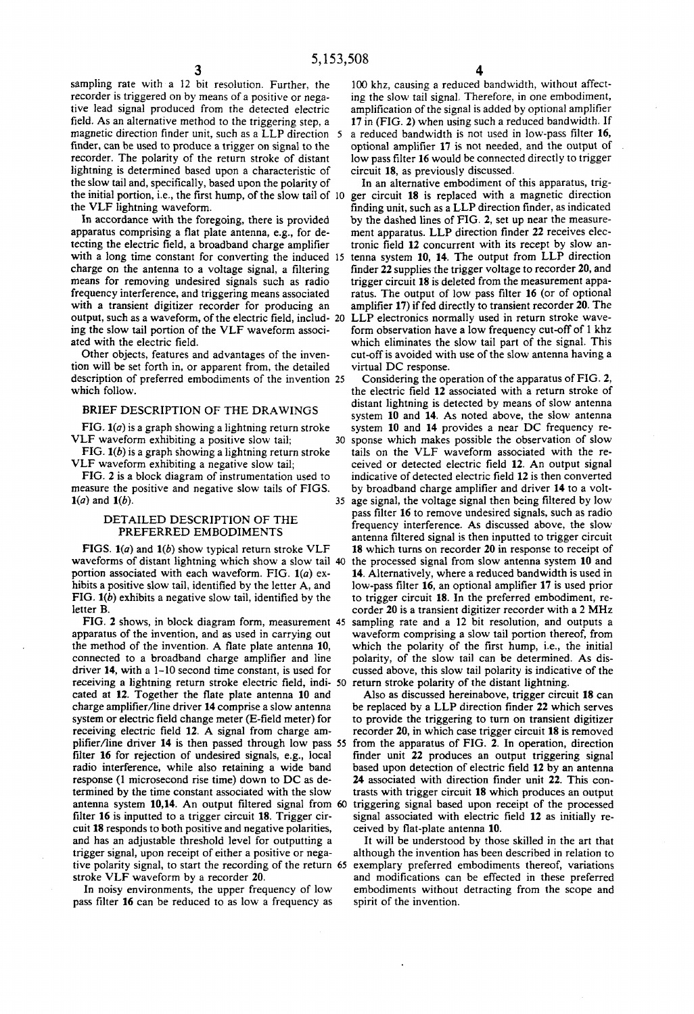**30** 

**35** 

<span id="page-4-0"></span>sampling rate with a 12 bit resolution. Further, the recorder is triggered on by means of a positive or negative lead signal produced from the detected electric field. As an alternative method to the triggering step, a magnetic direction finder unit, such as a LLP direction *5*  finder, can be used to produce a trigger on signal to the recorder. The polarity of the return stroke of distant lightning is determined based upon a characteristic of the slow tail and, specifically, based upon the polarity of the initial portion, i.e., the first hump, of the slow tail of 10 the VLF lightning waveform.

In accordance with the foregoing, there **is** provided apparatus comprising a flat plate antenna, e.g., for detecting the electric field, a broadband charge amplifier with a long time constant for converting the induced **15**  charge on the antenna to a voltage signal, a filtering means for removing undesired signals such as radio frequency interference, and triggering means associated with a transient digitizer recorder for producing an output, such as a waveform, of the electric field, includ-*20*  ing the slow tail portion of the VLF waveform associated with the electric field.

Other objects, features and advantages of the invention will be set forth in, or apparent from, the detailed description of preferred embodiments of the invention *25*  which follow.

#### BRIEF DESCRIPTION OF THE DRAWINGS

FIG. **l(o)** is a graph showing a lightning return stroke VLF waveform exhibiting a positive slow tail;

FIG. **1(b)** is a graph showing a lightning return stroke VLF waveform exhibiting a negative slow tail;

FIG. **2** is a block diagram of instrumentation used to measure the positive and negative slow tails of FIGS.  $\mathbf{1}(a)$  and  $\mathbf{1}(b)$ .

#### DETAILED DESCRIPTION OF THE PREFERRED EMBODIMENTS

FIGS. **l(u)** and **l(b)** show typical return stroke VLF waveforms of distant lightning which show a slow tail 40 portion associated with each waveform. FIG. **l(a)** exhibits **a** positive slow tail, identified by the letter **A,** and FIG. **l(b)** exhibits a negative slow tail, identified by the letter **B.** 

FIG. **2** shows, in block diagram form, measurement **45**  apparatus of the invention, and as used in carrying out the method of the invention. A flate plate antenna **10,**  connected to a broadband charge amplifier and line driver **14,** with a **1-10** second time constant, is used for receiving a lightning return stroke electric field, indi-**50**  return stroke polarity of the distant lightning. cated at **12.** Together the flate plate antenna **10** and charge amplifier/line driver 14 comprise a slow antenna system or electric field change meter (E-field meter) for receiving electric field **12. A** signal from charge amplifier/line driver 14 is then passed through low pass 55 filter **16** for rejection of undesired signals, e.g., local radio interference, while also retaining a wide band response (1 microsecond rise time) down to DC as determined by the time constant associated with the slow antenna system **10,14.** An output filtered signal from *60*  filter **16** is inputted to a trigger circuit **18.** Trigger circuit **18** responds to both positive and negative polarities, and has an adjustable threshold level for outputting a trigger signal, upon receipt of either a positive or negative polarity signal, to start the recording of the return *65*  stroke VLF waveform by a recorder **20.** 

In noisy environments, the upper frequency of low pass filter **16** can be reduced to as low a frequency as

100 khz, causing a reduced bandwidth, without affecting the slow tail signal, Therefore, in one embodiment, amplification of the signal is added by optional amplifier **17** in (FIG. **2)** when using such a reduced bandwidth. If a reduced bandwidth is not used in low-pass filter **16,**  optional amplifier **17** is not needed. and the output of low pass filter **16** would be connected directly to trigger circuit **18,** as previously discussed.

In an alternative embodiment of this apparatus, trigger circuit **18** is replaced with a magnetic direction finding unit, such as a LLP direction finder, as indicated by the dashed lines of FIG. **2,** set up near the measurement apparatus. LLP direction finder **22** receives electronic field **12** concurrent with its recept by slow antenna system **10, 14.** The output from LLP direction finder **22** supplies the trigger voltage to recorder **20,** and trigger circuit **18** is deleted from the measurement apparatus. The output of low pass filter **16** (or of optional amplifier **17)** if fed directly to transient recorder **20.** The LLP electronics normally used in return stroke waveform observation have a low frequency cut-off of 1 khz which eliminates the slow tail part of the signal. This cut-off is avoided with use of the slow antenna having a virtual DC response.

Considering the operation of the apparatus of FIG. **2,**  the electric field **12** associated with a return stroke of distant lightning is detected by means of slow antenna system **10** and **14.** As noted above, the slow antenna system **10** and **14** provides a near DC frequency response which makes possible the observation of slow tails on the VLF waveform associated with the received or detected electric field **12.** An output signal indicative of detected electric field **12** is then converted by broadband charge amplifier and driver **14** to a voltage signal, the voltage signal then being filtered by low pass filter **16** to remove undesired signals, such as radio frequency interference. As discussed above, the slow antenna filtered signal is then inputted to trigger circuit **18** which turns on recorder **20** in response to receipt of the processed signal from slow antenna system **10** and **14.** Alternatively, where a reduced bandwidth is used in low-pass filter **16,** an optional amplifier **17** is used prior to trigger circuit **18.** In the preferred embodiment, recorder **20** is a transient digitizer recorder with a **2** MHz sampling rate and a **12** bit resolution, and outputs a waveform comprising a slow tail portion thereof, from which the polarity of the first hump, i.e., the initial polarity, of the slow tail can be determined. As discussed above, this slow tail polarity is indicative of the

Also as discussed hereinabove, trigger circuit **18** can be replaced by a LLP direction finder **22** which serves to provide the triggering to turn on transient digitizer recorder **20,** in which case trigger circuit **18** is removed from the apparatus of FIG. **2.** In operation, direction finder unit **22** produces an output triggering signal based upon detection of electric field **12** by an antenna *24* associated with direction finder unit **22.** This contrasts with trigger circuit **18** which produces an output triggering signal based upon receipt of the processed signal associated with electric field **12** as initially received by flat-plate antenna **10.** 

It will be understood by those skilled in the art that although the invention has been described in relation to exemplary preferred embodiments thereof, variations and modifications can be effected in these preferred embodiments without detracting from the scope and spirit of the invention.